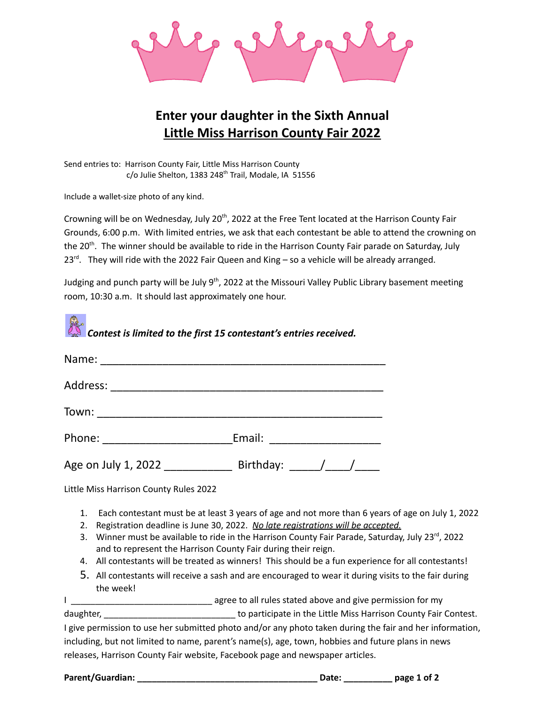

## **Enter your daughter in the Sixth Annual Little Miss Harrison County Fair 2022**

Send entries to: Harrison County Fair, Little Miss Harrison County c/o Julie Shelton, 1383 248<sup>th</sup> Trail, Modale, IA 51556

Include a wallet-size photo of any kind.

Crowning will be on Wednesday, July 20<sup>th</sup>, 2022 at the Free Tent located at the Harrison County Fair Grounds, 6:00 p.m. With limited entries, we ask that each contestant be able to attend the crowning on the 20<sup>th</sup>. The winner should be available to ride in the Harrison County Fair parade on Saturday, July 23<sup>rd</sup>. They will ride with the 2022 Fair Queen and King – so a vehicle will be already arranged.

Judging and punch party will be July 9<sup>th</sup>, 2022 at the Missouri Valley Public Library basement meeting room, 10:30 a.m. It should last approximately one hour.

| Contest is limited to the first 15 contestant's entries received. |                               |
|-------------------------------------------------------------------|-------------------------------|
|                                                                   |                               |
|                                                                   |                               |
| Town: _______________________                                     |                               |
|                                                                   | Email: ______________________ |
| Age on July 1, 2022 Birthday: $\sqrt{2}$                          |                               |

Little Miss Harrison County Rules 2022

- 1. Each contestant must be at least 3 years of age and not more than 6 years of age on July 1, 2022
- 2. Registration deadline is June 30, 2022. *No late registrations will be accepted.*
- 3. Winner must be available to ride in the Harrison County Fair Parade, Saturday, July 23<sup>rd</sup>, 2022 and to represent the Harrison County Fair during their reign.
- 4. All contestants will be treated as winners! This should be a fun experience for all contestants!
- 5. All contestants will receive a sash and are encouraged to wear it during visits to the fair during the week!

I \_\_\_\_\_\_\_\_\_\_\_\_\_\_\_\_\_\_\_\_\_\_\_\_\_\_\_\_\_ agree to all rules stated above and give permission for my

daughter, \_\_\_\_\_\_\_\_\_\_\_\_\_\_\_\_\_\_\_\_\_\_\_\_\_\_\_\_\_\_\_\_ to participate in the Little Miss Harrison County Fair Contest.

I give permission to use her submitted photo and/or any photo taken during the fair and her information, including, but not limited to name, parent's name(s), age, town, hobbies and future plans in news releases, Harrison County Fair website, Facebook page and newspaper articles.

**Parent/Guardian: \_\_\_\_\_\_\_\_\_\_\_\_\_\_\_\_\_\_\_\_\_\_\_\_\_\_\_\_\_\_\_\_\_\_\_\_\_ Date: \_\_\_\_\_\_\_\_\_\_ page 1 of 2**